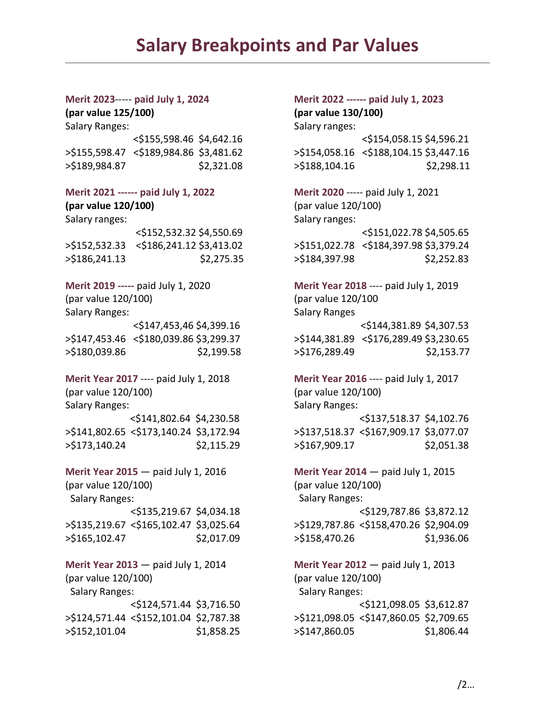## **Salary Breakpoints and Par Values**

**(par value 125/100) (par value 130/100)** Salary Ranges: Salary ranges: Salary ranges: >\$155,598.47 <\$189,984.86 \$3,481.62 >\$154,058.16 <\$188,104.15 \$3,447.16 >\$189,984.87 \$2,321.08 >\$188,104.16 \$2,298.11

**Merit 2021 ------ paid July 1, 2022 Merit 2020** ----- paid July 1, 2021 **(par value 120/100)** (par value 120/100) Salary ranges: Salary ranges: Salary ranges: Salary ranges: Salary ranges: Salary ranges: Salary ranges: Salary ranges: Salary ranges: Salary ranges: Salary ranges: Salary ranges: Salary ranges: Salary ranges: Salary range >\$152,532.33 <\$186,241.12 \$3,413.02 >\$151,022.78 <\$184,397.98 \$3,379.24 >\$186,241.13 \$2,275.35 >\$184,397.98 \$2,252.83

(par value 120/100) (par value 120/100 Salary Ranges: Salary Ranges

**Merit Year 2017** ---- paid July 1, 2018 **Merit Year 2016** ---- paid July 1, 2017 (par value 120/100) (par value 120/100) Salary Ranges: Salary Ranges: Salary Ranges: Salary Ranges: Salary Ranges: Salary Ranges: Salary Ranges: Salary Ranges: Salary Ranges: Salary Ranges: Salary Ranges: Salary Ranges: Salary Ranges: Salary Ranges: Salary Range

**Merit Year 2015** — paid July 1, 2016 (par value 120/100) Salary Ranges: <\$135,219.67 \$4,034.18 >\$135,219.67 <\$165,102.47 \$3,025.64 >\$165,102.47 \$2,017.09

**Merit Year 2013** — paid July 1, 2014 (par value 120/100) Salary Ranges: <\$124,571.44 \$3,716.50 >\$124,571.44 <\$152,101.04 \$2,787.38 >\$152,101.04 \$1,858.25

## **Merit 2023**----- **paid July 1, 2024 Merit 2022 ------ paid July 1, 2023**

<\$155,598.46 \$4,642.16 <\$154,058.15 \$4,596.21

<\$152,532.32 \$4,550.69 <\$151,022.78 \$4,505.65

**Merit 2019 -----** paid July 1, 2020 **Merit Year 2018** ---- paid July 1, 2019 <\$147,453,46 \$4,399.16 <\$144,381.89 \$4,307.53 >\$147,453.46 <\$180,039.86 \$3,299.37 >\$144,381.89 <\$176,289.49 \$3,230.65 >\$180,039.86 \$2,199.58 >\$176,289.49 \$2,153.77

 <\$141,802.64 \$4,230.58 <\$137,518.37 \$4,102.76 >\$141,802.65 <\$173,140.24 \$3,172.94 >\$137,518.37 <\$167,909.17 \$3,077.07 >\$173,140.24 \$2,115.29 >\$167,909.17 \$2,051.38

> **Merit Year 2014** — paid July 1, 2015 (par value 120/100) Salary Ranges: <\$129,787.86 \$3,872.12 >\$129,787.86 <\$158,470.26 \$2,904.09 >\$158,470.26 \$1,936.06

> **Merit Year 2012** — paid July 1, 2013 (par value 120/100) Salary Ranges: <\$121,098.05 \$3,612.87 >\$121,098.05 <\$147,860.05 \$2,709.65 >\$147,860.05 \$1,806.44